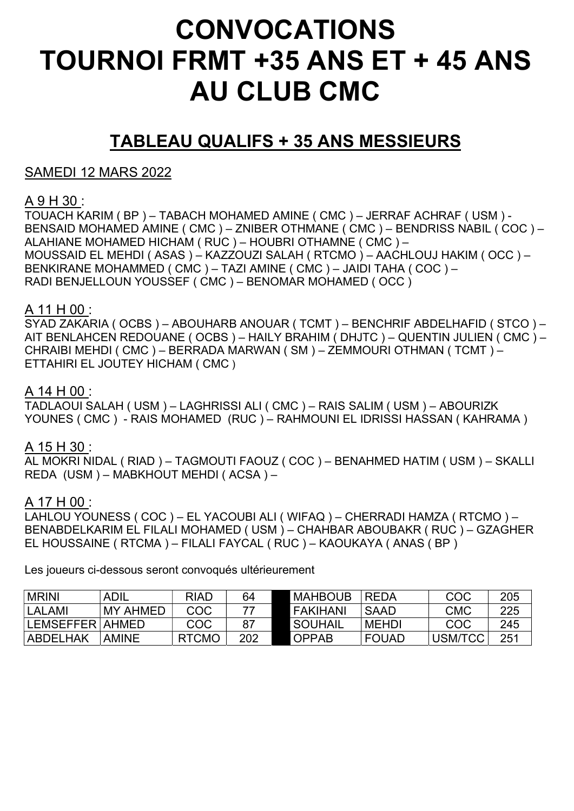# CONVOCATIONS TOURNOI FRMT +35 ANS ET + 45 ANS AU CLUB CMC

# TABLEAU QUALIFS + 35 ANS MESSIEURS

SAMEDI 12 MARS 2022

# A 9 H 30 :

TOUACH KARIM ( BP ) – TABACH MOHAMED AMINE ( CMC ) – JERRAF ACHRAF ( USM ) - BENSAID MOHAMED AMINE ( CMC ) – ZNIBER OTHMANE ( CMC ) – BENDRISS NABIL ( COC ) – ALAHIANE MOHAMED HICHAM ( RUC ) – HOUBRI OTHAMNE ( CMC ) – MOUSSAID EL MEHDI ( ASAS ) – KAZZOUZI SALAH ( RTCMO ) – AACHLOUJ HAKIM ( OCC ) – BENKIRANE MOHAMMED ( CMC ) – TAZI AMINE ( CMC ) – JAIDI TAHA ( COC ) – RADI BENJELLOUN YOUSSEF ( CMC ) – BENOMAR MOHAMED ( OCC )

## A 11 H 00 :

SYAD ZAKARIA ( OCBS ) – ABOUHARB ANOUAR ( TCMT ) – BENCHRIF ABDELHAFID ( STCO ) – AIT BENLAHCEN REDOUANE ( OCBS ) – HAILY BRAHIM ( DHJTC ) – QUENTIN JULIEN ( CMC ) – CHRAIBI MEHDI ( CMC ) – BERRADA MARWAN ( SM ) – ZEMMOURI OTHMAN ( TCMT ) – ETTAHIRI EL JOUTEY HICHAM ( CMC )

### A 14 H 00 :

TADLAOUI SALAH ( USM ) – LAGHRISSI ALI ( CMC ) – RAIS SALIM ( USM ) – ABOURIZK YOUNES ( CMC ) - RAIS MOHAMED (RUC ) – RAHMOUNI EL IDRISSI HASSAN ( KAHRAMA )

#### A 15 H 30 :

AL MOKRI NIDAL ( RIAD ) – TAGMOUTI FAOUZ ( COC ) – BENAHMED HATIM ( USM ) – SKALLI REDA (USM ) – MABKHOUT MEHDI ( ACSA ) –

## A 17 H 00 :

LAHLOU YOUNESS ( COC ) – EL YACOUBI ALI ( WIFAQ ) – CHERRADI HAMZA ( RTCMO ) – BENABDELKARIM EL FILALI MOHAMED ( USM ) – CHAHBAR ABOUBAKR ( RUC ) – GZAGHER EL HOUSSAINE ( RTCMA ) – FILALI FAYCAL ( RUC ) – KAOUKAYA ( ANAS ( BP )

Les joueurs ci-dessous seront convoqués ultérieurement

| <b>MRINI</b>      | <b>ADIL</b>     | <b>RIAD</b>  | 64  | <b>I MAHBOUB</b> | <b>REDA</b>  | COC        | 205 |
|-------------------|-----------------|--------------|-----|------------------|--------------|------------|-----|
| LALAMI            | <b>MY AHMED</b> | COC          |     | I FAKIHANI       | <b>SAAD</b>  | <b>CMC</b> | 225 |
| LEMSEFFER   AHMED |                 | COC          | -87 | <b>SOUHAIL</b>   | MEHDI        | COC        | 245 |
| ABDELHAK          | <b>AMINE</b>    | <b>RTCMO</b> | 202 | OPPAB            | <b>FOUAD</b> | USM/TCC    | 251 |